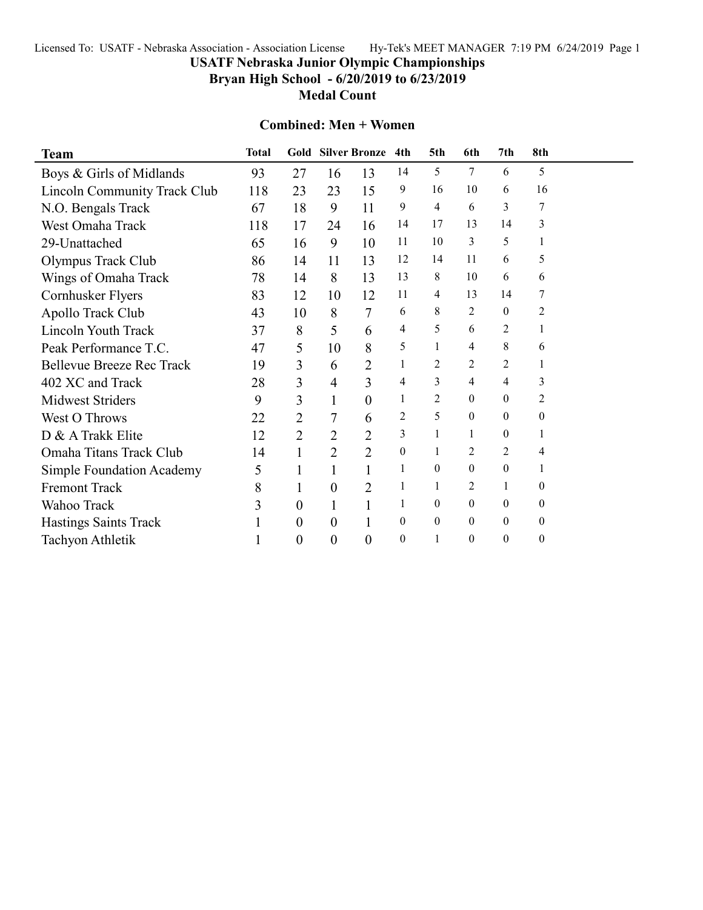## Licensed To: USATF - Nebraska Association - Association License Hy-Tek's MEET MANAGER 7:19 PM 6/24/2019 Page 1

# **USATF Nebraska Junior Olympic Championships**

**Bryan High School - 6/20/2019 to 6/23/2019**

**Medal Count**

### **Combined: Men + Women**

| <b>Team</b>                      | <b>Total</b> |                  |                | Gold Silver Bronze 4th |                  | 5th              | 6th              | 7th              | 8th              |  |
|----------------------------------|--------------|------------------|----------------|------------------------|------------------|------------------|------------------|------------------|------------------|--|
| Boys & Girls of Midlands         | 93           | 27               | 16             | 13                     | 14               | 5                | 7                | 6                | 5                |  |
| Lincoln Community Track Club     | 118          | 23               | 23             | 15                     | 9                | 16               | 10               | 6                | 16               |  |
| N.O. Bengals Track               | 67           | 18               | 9              | 11                     | 9                | 4                | 6                | 3                | 7                |  |
| West Omaha Track                 | 118          | 17               | 24             | 16                     | 14               | 17               | 13               | 14               | 3                |  |
| 29-Unattached                    | 65           | 16               | 9              | 10                     | 11               | 10               | 3                | 5                | 1                |  |
| Olympus Track Club               | 86           | 14               | 11             | 13                     | 12               | 14               | 11               | 6                | 5                |  |
| Wings of Omaha Track             | 78           | 14               | 8              | 13                     | 13               | 8                | 10               | 6                | 6                |  |
| Cornhusker Flyers                | 83           | 12               | 10             | 12                     | 11               | 4                | 13               | 14               | 7                |  |
| Apollo Track Club                | 43           | 10               | 8              | 7                      | 6                | 8                | 2                | $\overline{0}$   | $\overline{c}$   |  |
| <b>Lincoln Youth Track</b>       | 37           | 8                | 5              | 6                      | 4                | 5                | 6                | 2                |                  |  |
| Peak Performance T.C.            | 47           | 5                | 10             | 8                      | 5                | 1                | 4                | 8                | 6                |  |
| <b>Bellevue Breeze Rec Track</b> | 19           | 3                | 6              | $\overline{2}$         | 1                | 2                | 2                | 2                | 1                |  |
| 402 XC and Track                 | 28           | 3                | 4              | 3                      | 4                | 3                | 4                | 4                | 3                |  |
| <b>Midwest Striders</b>          | 9            | 3                | 1              | $\boldsymbol{0}$       | 1                | $\overline{c}$   | $\theta$         | $\mathbf{0}$     | 2                |  |
| <b>West O Throws</b>             | 22           | $\overline{2}$   | 7              | 6                      | 2                | 5                | $\boldsymbol{0}$ | $\mathbf{0}$     | $\theta$         |  |
| D & A Trakk Elite                | 12           | $\overline{2}$   | $\overline{2}$ | $\overline{c}$         | 3                | 1                | 1                | $\boldsymbol{0}$ | 1                |  |
| Omaha Titans Track Club          | 14           | 1                | $\overline{2}$ | $\overline{2}$         | $\boldsymbol{0}$ | $\mathbf{1}$     | $\overline{2}$   | $\overline{2}$   | 4                |  |
| <b>Simple Foundation Academy</b> | 5            | 1                |                |                        | 1                | $\theta$         | $\mathbf{0}$     | $\mathbf{0}$     | 1                |  |
| Fremont Track                    | 8            | 1                | 0              | 2                      | 1                | 1                | 2                | 1                | 0                |  |
| Wahoo Track                      | 3            | $\theta$         | 1              | 1                      | 1                | $\mathbf{0}$     | $\mathbf{0}$     | $\mathbf{0}$     | $\boldsymbol{0}$ |  |
| <b>Hastings Saints Track</b>     |              | $\theta$         | $\overline{0}$ |                        | $\mathbf{0}$     | $\boldsymbol{0}$ | $\boldsymbol{0}$ | $\mathbf{0}$     | $\boldsymbol{0}$ |  |
| Tachyon Athletik                 |              | $\boldsymbol{0}$ | 0              | $\overline{0}$         | $\mathbf{0}$     | 1                | $\boldsymbol{0}$ | $\mathbf{0}$     | $\boldsymbol{0}$ |  |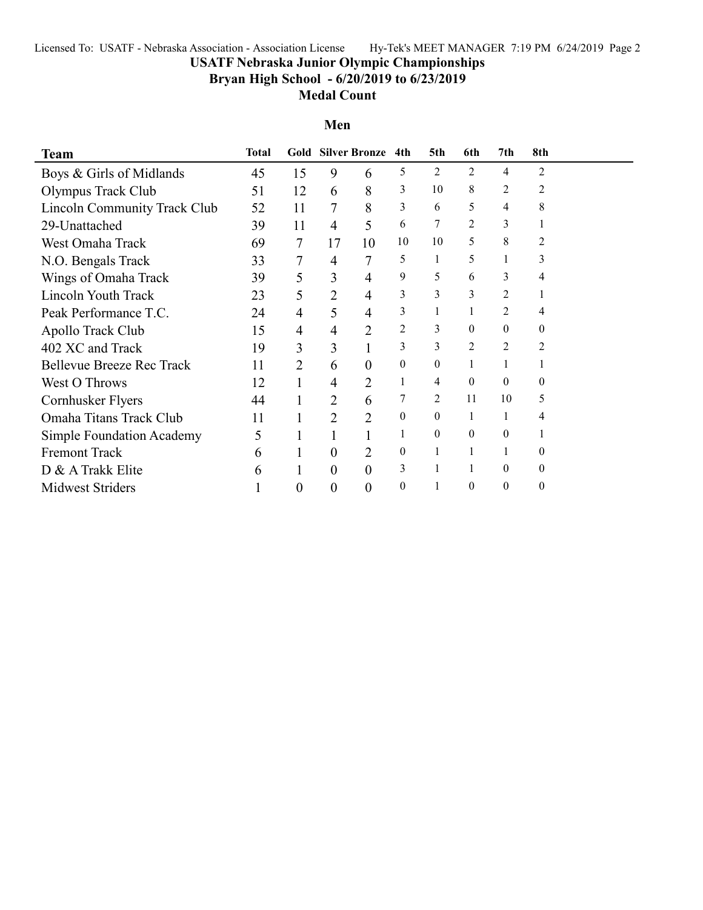## Licensed To: USATF - Nebraska Association - Association License Hy-Tek's MEET MANAGER 7:19 PM 6/24/2019 Page 2

# **USATF Nebraska Junior Olympic Championships**

**Bryan High School - 6/20/2019 to 6/23/2019**

#### **Medal Count**

**Men**

| <b>Team</b>                      | <b>Total</b> | Gold           |                | <b>Silver Bronze</b> | 4th              | 5th      | 6th              | 7th              | 8th            |  |
|----------------------------------|--------------|----------------|----------------|----------------------|------------------|----------|------------------|------------------|----------------|--|
| Boys & Girls of Midlands         | 45           | 15             | 9              | 6                    | 5                | 2        | 2                | 4                | $\overline{2}$ |  |
| Olympus Track Club               | 51           | 12             | 6              | 8                    | 3                | 10       | 8                | 2                | 2              |  |
| Lincoln Community Track Club     | 52           | 11             | 7              | 8                    | 3                | 6        | 5                | 4                | 8              |  |
| 29-Unattached                    | 39           | 11             | 4              | 5                    | 6                |          | 2                | 3                |                |  |
| West Omaha Track                 | 69           | 7              | 17             | 10                   | 10               | 10       | 5                | 8                | $\overline{2}$ |  |
| N.O. Bengals Track               | 33           | 7              | 4              | $\overline{7}$       | 5                | 1        | 5                | 1                | 3              |  |
| Wings of Omaha Track             | 39           | 5              | 3              | 4                    | 9                | 5        | 6                | 3                | 4              |  |
| Lincoln Youth Track              | 23           | 5              | 2              | 4                    | 3                | 3        | 3                | 2                |                |  |
| Peak Performance T.C.            | 24           | $\overline{4}$ | 5              | 4                    | 3                |          | 1                | 2                | 4              |  |
| Apollo Track Club                | 15           | 4              | 4              | $\overline{2}$       | 2                | 3        | $\boldsymbol{0}$ | $\theta$         | 0              |  |
| 402 XC and Track                 | 19           | 3              | 3              |                      | 3                | 3        | $\overline{c}$   | 2                | 2              |  |
| <b>Bellevue Breeze Rec Track</b> | 11           | 2              | 6              | 0                    | $\mathbf{0}$     | $\theta$ | 1                |                  |                |  |
| <b>West O Throws</b>             | 12           |                | 4              | 2                    | 1                | 4        | $\boldsymbol{0}$ | $\theta$         | 0              |  |
| Cornhusker Flyers                | 44           |                | 2              | 6                    | 7                | 2        | 11               | 10               | 5              |  |
| Omaha Titans Track Club          | 11           |                | $\overline{2}$ | $\overline{2}$       | $\theta$         | $\theta$ | 1                | 1                | 4              |  |
| <b>Simple Foundation Academy</b> | 5            |                |                |                      | 1                | $\theta$ | 0                | $\theta$         |                |  |
| <b>Fremont Track</b>             | 6            |                | $\overline{0}$ | 2                    | $\mathbf{0}$     | 1        | 1                | 1                | 0              |  |
| D & A Trakk Elite                | 6            |                | $\theta$       | $\theta$             | 3                |          |                  | $\theta$         | 0              |  |
| <b>Midwest Striders</b>          |              | 0              | $\theta$       | $\overline{0}$       | $\boldsymbol{0}$ |          | $\boldsymbol{0}$ | $\boldsymbol{0}$ | 0              |  |